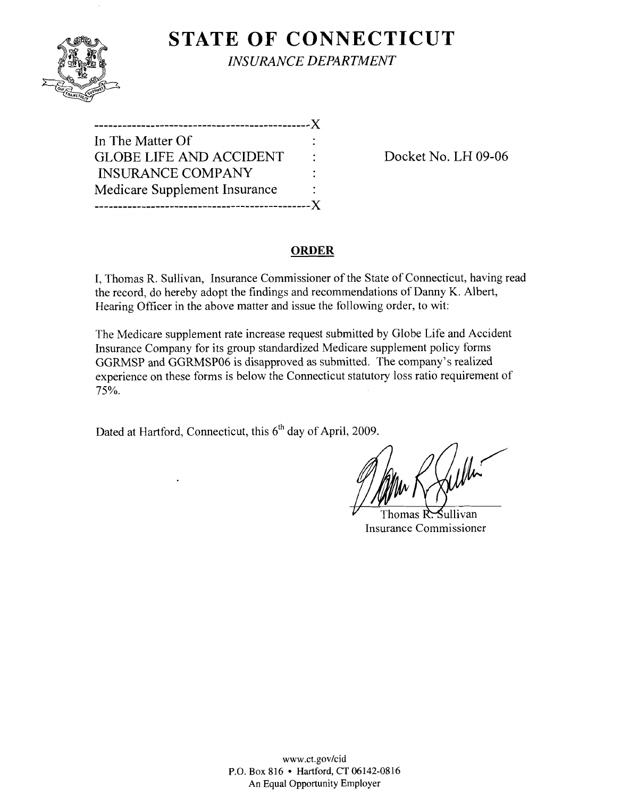

# **STATE OF CONNECTICUT** *INSURANCE DEPARTMENT*

| In The Matter Of               |   |
|--------------------------------|---|
| <b>GLOBE LIFE AND ACCIDENT</b> |   |
| <b>INSURANCE COMPANY</b>       |   |
| Medicare Supplement Insurance  | ٠ |
| ----------                     |   |

Docket No. LH 09-06

## **ORDER**

I, Thomas R. Sullivan, Insurance Commissioner of the State of Connecticut, having read the record, do hereby adopt the findings and recommendations of Danny K. Albert, Hearing Officer in the above matter and issue the following order, to wit:

The Medicare supplement rate increase request submitted by Globe Life and Accident Insurance Company for its group standardized Medicare supplement policy forms GGRMSP and GGRMSP06 is disapproved as submitted. The company's realized experience on these forms is below the Connecticut statutory loss ratio requirement of 75%.

Dated at Hartford, Connecticut, this 6<sup>th</sup> day of April, 2009.

Thomas R. Sullivan Insurance Commissioner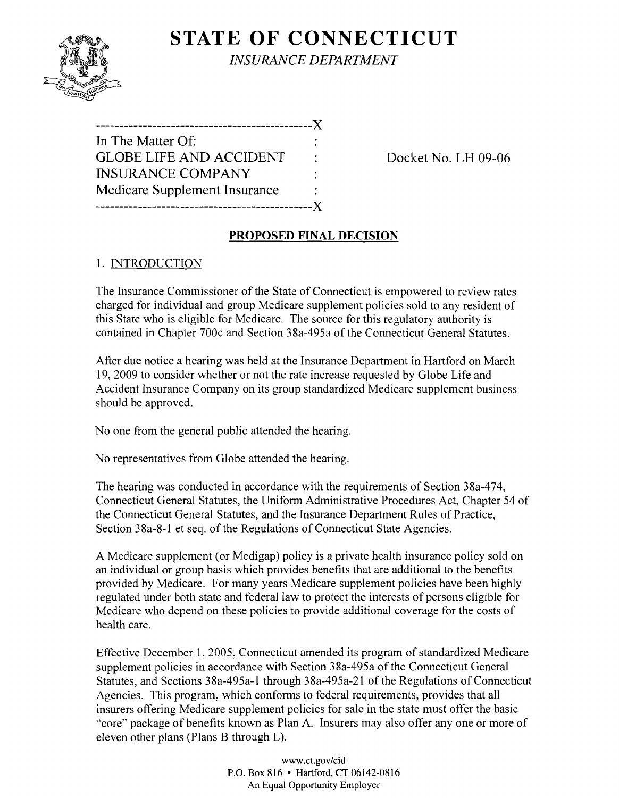

**STATE OF CONNECTICUT** *INSURANCE DEPARTMENT* 

| .                              | X. |
|--------------------------------|----|
| In The Matter Of:              |    |
| <b>GLOBE LIFE AND ACCIDENT</b> |    |
| <b>INSURANCE COMPANY</b>       |    |
| Medicare Supplement Insurance  |    |
|                                |    |

Docket No. LH 09-06

## **PROPOSED FINAL DECISION**

## 1. INTRODUCTION

The Insurance Commissioner of the State of Connecticut is empowered to review rates charged for individual and group Medicare supplement policies sold to any resident of this State who is eligible for Medicare. The source for this regulatory authority is contained in Chapter 700c and Section 38a-495a of the Connecticut General Statutes.

After due notice a hearing was held at the Insurance Department in Hartford on March 19,2009 to consider whether or not the rate increase requested by Globe Life and Accident Insurance Company on its group standardized Medicare supplement business should be approved.

No one from the general public attended the hearing.

No representatives from Globe attended the hearing.

The hearing was conducted in accordance with the requirements of Section 38a-474, Connecticut General Statutes, the Uniform Administrative Procedures Act, Chapter 54 of the Connecticut General Statutes, and the Insurance Department Rules of Practice, Section 38a-8-1 et seq. of the Regulations of Connecticut State Agencies.

A Medicare supplement (or Medigap) policy is a private health insurance policy sold on an individual or group basis which provides benefits that are additional to the benefits provided by Medicare. For many years Medicare supplement policies have been highly regulated under both state and federal law to protect the interests of persons eligible for Medicare who depend on these policies to provide additional coverage for the costs of health care.

Effective December 1,2005, Connecticut amended its program of standardized Medicare supplement policies in accordance with Section 38a-495a of the Connecticut General Statutes, and Sections 38a-495a-1 through 38a-495a-21 of the Regulations of Connecticut Agencies. This program, which conforms to federal requirements, provides that all insurers offering Medicare supplement policies for sale in the state must offer the basic "core" package of benefits known as Plan A. Insurers may also offer any one or more of eleven other plans (Plans B through L).

> www.ct.gov/cid P.O. Box 816 • Hartford, CT 06142-0816 An Equal Opportunity Employer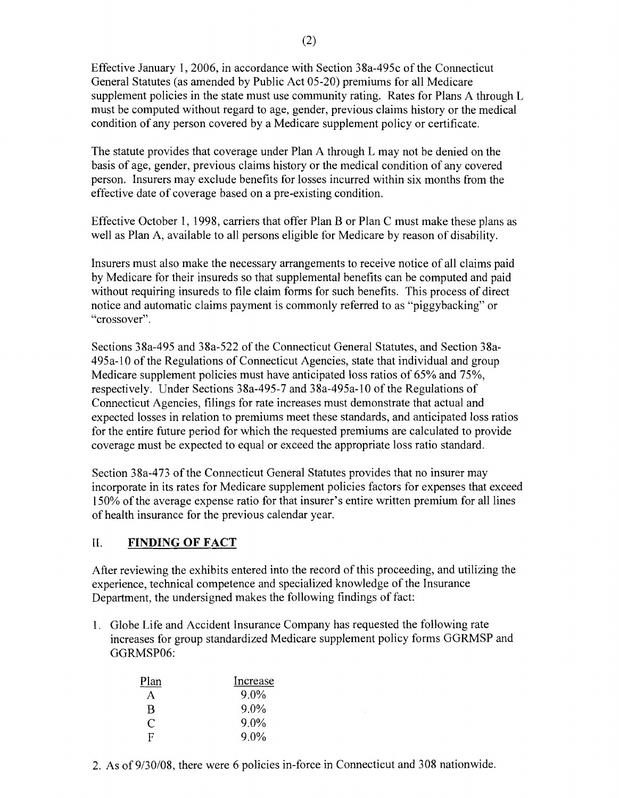Effective January 1,2006, in accordance with Section 38a-495c of the Connecticut General Statutes (as amended by Public Act 05-20) premiums for all Medicare supplement policies in the state must use community rating. Rates for Plans A through L must be computed without regard to age, gender, previous claims history or the medical condition of any person covered by a Medicare supplement policy or certificate.

The statute provides that coverage under Plan A through L may not be denied on the basis of age, gender, previous claims history or the medical condition of any covered person. Insurers may exclude benefits for losses incurred within six months from the effective date of coverage based on a pre-existing condition.

Effective October 1, 1998, carriers that offer Plan B or Plan C must make these plans as well as Plan A, available to all persons eligible for Medicare by reason of disability.

Insurers must also make the necessary arrangements to receive notice of all claims paid by Medicare for their insureds so that supplemental benefits can be computed and paid without requiring insureds to file claim forms for such benefits. This process of direct notice and automatic claims payment is commonly referred to as "piggybacking" or "crossover".

Sections 38a-495 and 38a-522 of the Connecticut General Statutes, and Section 38a-495a- 10 of the Regulations of Connecticut Agencies, state that individual and group Medicare supplement policies must have anticipated loss ratios of 65% and 75%, respectively. Under Sections 38a-495-7 and 38a-495a-10 of the Regulations of Connecticut Agencies, filings for rate increases must demonstrate that actual and expected losses in relation to premiums meet these standards, and anticipated loss ratios for the entire future period for which the requested premiums are calculated to provide coverage must be expected to equal or exceed the appropriate loss ratio standard.

Section 38a-473 of the Connecticut General Statutes provides that no insurer may incorporate in its rates for Medicare supplement policies factors for expenses that exceed 150% of the average expense ratio for that insurer's entire written premium for all lines of health insurance for the previous calendar year.

## **11. FINDING OF FACT**

After reviewing the exhibits entered into the record of this proceeding, and utilizing the experience, technical competence and specialized knowledge of the Insurance Department, the undersigned makes the following findings of fact:

1. Globe Life and Accident Insurance Company has requested the following rate increases for group standardized Medicare supplement policy forms GGRMSP and GGRMSP06:

| Plan | Increase |
|------|----------|
| A    | 9.0%     |
| B    | $9.0\%$  |
| C    | $9.0\%$  |
| F    | $9.0\%$  |

2. As of 9/30/08, there were 6 policies in-force in Connecticut and 308 nationwide.